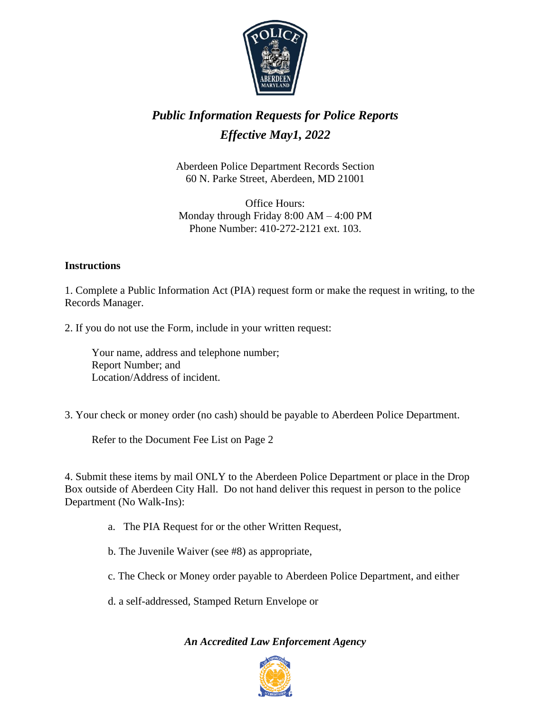

# *Public Information Requests for Police Reports Effective May1, 2022*

Aberdeen Police Department Records Section 60 N. Parke Street, Aberdeen, MD 21001

Office Hours: Monday through Friday 8:00 AM – 4:00 PM Phone Number: 410-272-2121 ext. 103.

#### **Instructions**

1. Complete a Public Information Act (PIA) request form or make the request in writing, to the Records Manager.

2. If you do not use the Form, include in your written request:

Your name, address and telephone number; Report Number; and Location/Address of incident.

3. Your check or money order (no cash) should be payable to Aberdeen Police Department.

Refer to the Document Fee List on Page 2

4. Submit these items by mail ONLY to the Aberdeen Police Department or place in the Drop Box outside of Aberdeen City Hall. Do not hand deliver this request in person to the police Department (No Walk-Ins):

a. The PIA Request for or the other Written Request,

b. The Juvenile Waiver (see #8) as appropriate,

- c. The Check or Money order payable to Aberdeen Police Department, and either
- d. a self-addressed, Stamped Return Envelope or

### *An Accredited Law Enforcement Agency*

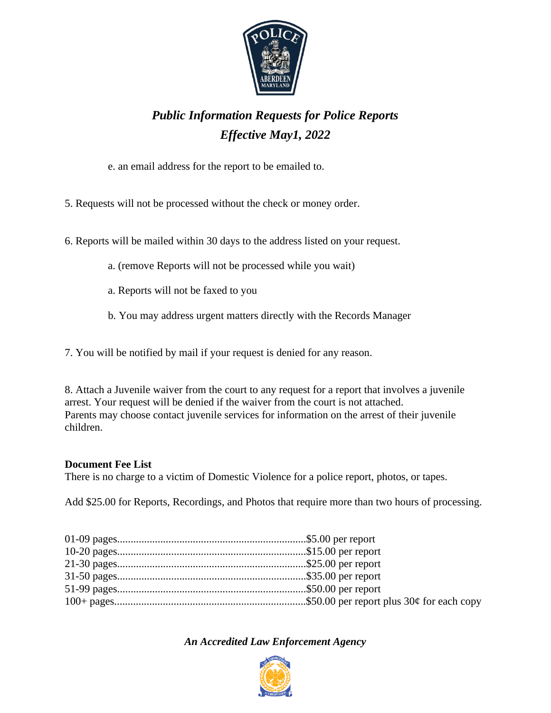

## *Public Information Requests for Police Reports Effective May1, 2022*

e. an email address for the report to be emailed to.

5. Requests will not be processed without the check or money order.

6. Reports will be mailed within 30 days to the address listed on your request.

- a. (remove Reports will not be processed while you wait)
- a. Reports will not be faxed to you
- b. You may address urgent matters directly with the Records Manager

7. You will be notified by mail if your request is denied for any reason.

8. Attach a Juvenile waiver from the court to any request for a report that involves a juvenile arrest. Your request will be denied if the waiver from the court is not attached. Parents may choose contact juvenile services for information on the arrest of their juvenile children.

### **Document Fee List**

There is no charge to a victim of Domestic Violence for a police report, photos, or tapes.

Add \$25.00 for Reports, Recordings, and Photos that require more than two hours of processing.

*An Accredited Law Enforcement Agency*